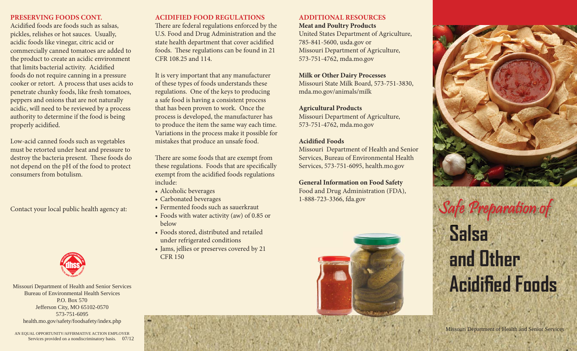#### **PRESERVING FOODS CONT.**

Acidified foods are foods such as salsas, pickles, relishes or hot sauces. Usually, acidic foods like vinegar, citric acid or commercially canned tomatoes are added to the product to create an acidic environment that limits bacterial activity. Acidified foods do not require canning in a pressure cooker or retort. A process that uses acids to penetrate chunky foods, like fresh tomatoes, peppers and onions that are not naturally acidic, will need to be reviewed by a process authority to determine if the food is being properly acidified.

Low-acid canned foods such as vegetables must be retorted under heat and pressure to destroy the bacteria present. These foods do not depend on the pH of the food to protect consumers from botulism.



Missouri Department of Health and Senior Services Bureau of Environmental Health ServicesP.O. Box 570Jefferson City, MO 65102-0570 573-751-6095health.mo.gov/safety/foodsafety/index.php

### **ACIDIFIED FOOD REGULATIONS**

There are federal regulations enforced by the U.S. Food and Drug Administration and the state health department that cover acidified foods. These regulations can be found in 21 CFR 108.25 and 114.

It is very important that any manufacturer of these types of foods understands these regulations. One of the keys to producing a safe food is having a consistent process that has been proven to work. Once the process is developed, the manufacturer has to produce the item the same way each time. Variations in the process make it possible for mistakes that produce an unsafe food.

There are some foods that are exempt from these regulations. Foods that are specifically exempt from the acidified foods regulations include:

- Alcoholic beverages
- Carbonated beverages
- Fermented foods such as sauerkraut
- Foods with water activity (aw) of 0.85 or below
- Foods stored, distributed and retailed under refrigerated conditions
- Jams, jellies or preserves covered by 21 CFR 150



United States Department of Agriculture, 785-841-5600, usda.gov or Missouri Department of Agriculture, 573-751-4762, mda.mo.gov

**Milk or Other Dairy Processes** Missouri State Milk Board, 573-751-3830, mda.mo.gov/animals/milk

**Agricultural Products** Missouri Department of Agriculture, 573-751-4762, mda.mo.gov

### **Acidified Foods**

Missouri Department of Health and Senior Services, Bureau of Environmental Health Services, 573-751-6095, health.mo.gov

**General Information on Food Safety** Food and Drug Administration (FDA), 1-888-723-3366, fda.gov





# **Salsa and OtherAcidified Foods** Carbonated beverages<br>Contact your local public health agency at: Fermented foods such as sauerkraut<br>Foods with water activity (aw) of 0.85 or